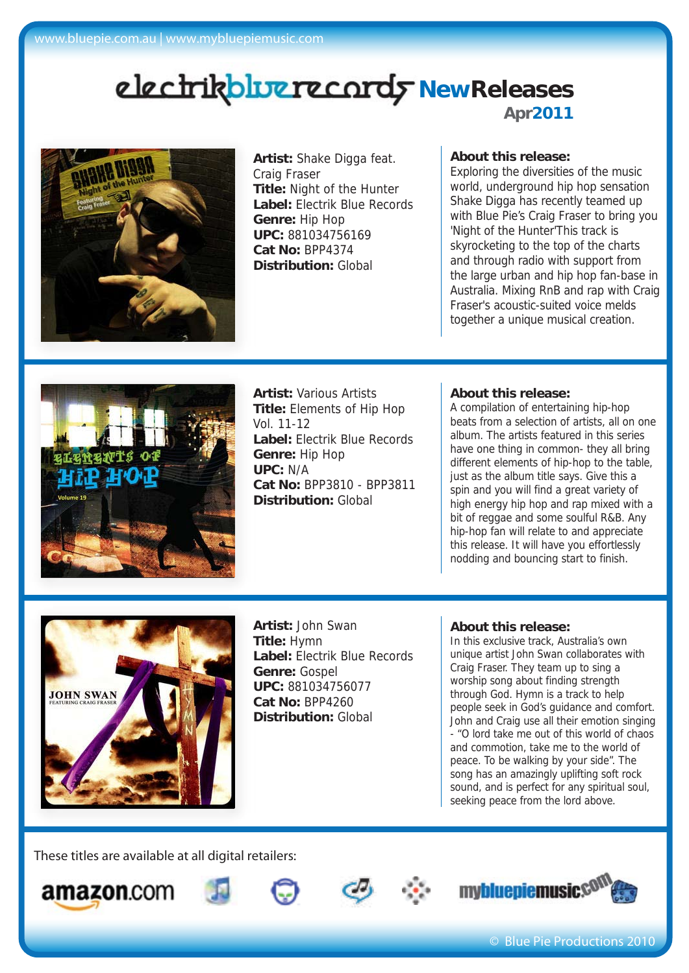# **Apr2011** electrikbluerecordy NewReleases



**Artist:** Shake Digga feat. Craig Fraser **Title:** Night of the Hunter **Label:** Electrik Blue Records **Genre:** Hip Hop **UPC:** 881034756169 **Cat No:** BPP4374 **Distribution:** Global

### **About this release:**

Exploring the diversities of the music world, underground hip hop sensation Shake Digga has recently teamed up with Blue Pie's Craig Fraser to bring you 'Night of the Hunter'This track is skyrocketing to the top of the charts and through radio with support from the large urban and hip hop fan-base in Australia. Mixing RnB and rap with Craig Fraser's acoustic-suited voice melds together a unique musical creation.



**Artist:** Various Artists **Title:** Elements of Hip Hop Vol. 11-12 **Label:** Electrik Blue Records **Genre:** Hip Hop **UPC:** N/A **Cat No:** BPP3810 - BPP3811 **Distribution:** Global

#### **About this release:**

A compilation of entertaining hip-hop beats from a selection of artists, all on one album. The artists featured in this series have one thing in common- they all bring different elements of hip-hop to the table, just as the album title says. Give this a spin and you will find a great variety of high energy hip hop and rap mixed with a bit of reggae and some soulful R&B. Any hip-hop fan will relate to and appreciate this release. It will have you effortlessly nodding and bouncing start to finish.



**Artist:** John Swan **Title:** Hymn **Label:** Electrik Blue Records **Genre:** Gospel **UPC:** 881034756077 **Cat No:** BPP4260 **Distribution:** Global

#### **About this release:**

In this exclusive track, Australia's own unique artist John Swan collaborates with Craig Fraser. They team up to sing a worship song about finding strength through God. Hymn is a track to help people seek in God's guidance and comfort. John and Craig use all their emotion singing - "O lord take me out of this world of chaos and commotion, take me to the world of peace. To be walking by your side". The song has an amazingly uplifting soft rock sound, and is perfect for any spiritual soul, seeking peace from the lord above.

These titles are available at all digital retailers:











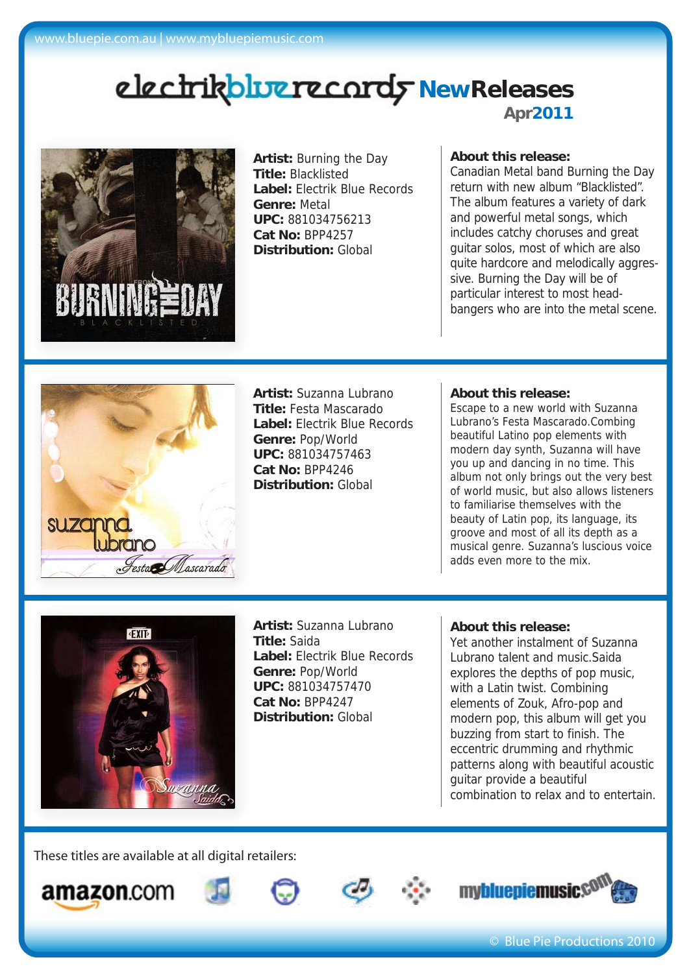# **Apr2011** electrikbluerecordy NewReleases



**Artist:** Burning the Day **Title:** Blacklisted **Label:** Electrik Blue Records **Genre:** Metal **UPC:** 881034756213 **Cat No:** BPP4257 **Distribution:** Global

## **About this release:**

Canadian Metal band Burning the Day return with new album "Blacklisted". The album features a variety of dark and powerful metal songs, which includes catchy choruses and great guitar solos, most of which are also quite hardcore and melodically aggressive. Burning the Day will be of particular interest to most headbangers who are into the metal scene.



**Artist:** Suzanna Lubrano **Title:** Festa Mascarado **Label:** Electrik Blue Records **Genre:** Pop/World **UPC:** 881034757463 **Cat No:** BPP4246 **Distribution:** Global

#### **About this release:**

Escape to a new world with Suzanna Lubrano's Festa Mascarado.Combing beautiful Latino pop elements with modern day synth, Suzanna will have you up and dancing in no time. This album not only brings out the very best of world music, but also allows listeners to familiarise themselves with the beauty of Latin pop, its language, its groove and most of all its depth as a musical genre. Suzanna's luscious voice adds even more to the mix.



**Artist:** Suzanna Lubrano **Title:** Saida **Label:** Electrik Blue Records **Genre:** Pop/World **UPC:** 881034757470 **Cat No:** BPP4247 **Distribution:** Global

### **About this release:**

Yet another instalment of Suzanna Lubrano talent and music.Saida explores the depths of pop music, with a Latin twist. Combining elements of Zouk, Afro-pop and modern pop, this album will get you buzzing from start to finish. The eccentric drumming and rhythmic patterns along with beautiful acoustic guitar provide a beautiful combination to relax and to entertain.

These titles are available at all digital retailers: